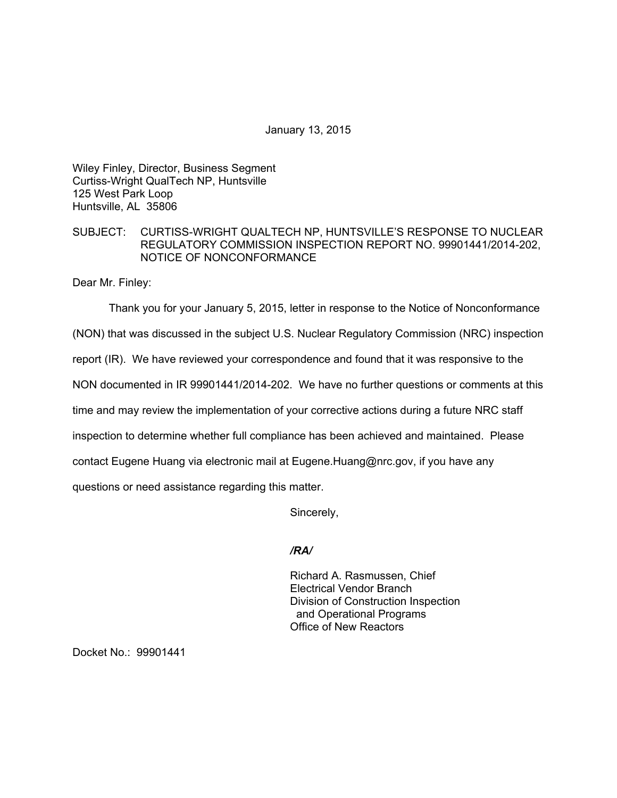January 13, 2015

Wiley Finley, Director, Business Segment Curtiss-Wright QualTech NP, Huntsville 125 West Park Loop Huntsville, AL 35806

## SUBJECT: CURTISS-WRIGHT QUALTECH NP, HUNTSVILLE'S RESPONSE TO NUCLEAR REGULATORY COMMISSION INSPECTION REPORT NO. 99901441/2014-202, NOTICE OF NONCONFORMANCE

Dear Mr. Finley:

Thank you for your January 5, 2015, letter in response to the Notice of Nonconformance

(NON) that was discussed in the subject U.S. Nuclear Regulatory Commission (NRC) inspection

report (IR). We have reviewed your correspondence and found that it was responsive to the

NON documented in IR 99901441/2014-202. We have no further questions or comments at this

time and may review the implementation of your corrective actions during a future NRC staff

inspection to determine whether full compliance has been achieved and maintained. Please

contact Eugene Huang via electronic mail at Eugene.Huang@nrc.gov, if you have any

questions or need assistance regarding this matter.

Sincerely,

*/RA/* 

Richard A. Rasmussen, Chief Electrical Vendor Branch Division of Construction Inspection and Operational Programs Office of New Reactors

Docket No.: 99901441